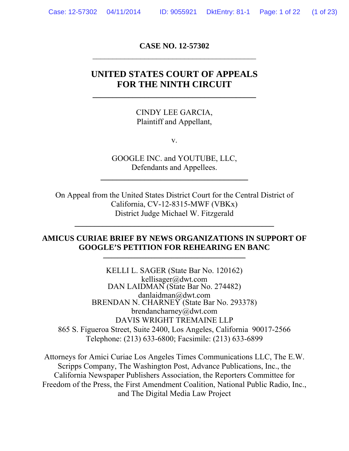## **CASE NO. 12-57302**

# **UNITED STATES COURT OF APPEALS FOR THE NINTH CIRCUIT**

**\_\_\_\_\_\_\_\_\_\_\_\_\_\_\_\_\_\_\_\_\_\_\_\_\_\_\_\_\_\_\_\_\_\_\_\_\_\_\_\_\_** 

#### CINDY LEE GARCIA, Plaintiff and Appellant,

v.

GOOGLE INC. and YOUTUBE, LLC, Defendants and Appellees.

**\_\_\_\_\_\_\_\_\_\_\_\_\_\_\_\_\_\_\_\_\_\_\_\_\_\_\_\_\_\_\_\_\_\_\_\_\_** 

On Appeal from the United States District Court for the Central District of California, CV-12-8315-MWF (VBKx) District Judge Michael W. Fitzgerald

\_\_\_\_\_\_\_\_\_\_\_\_\_\_\_\_\_\_\_\_\_\_\_\_\_\_\_\_\_\_\_\_\_\_\_\_\_\_\_\_\_\_\_\_\_\_\_\_\_\_

### **AMICUS CURIAE BRIEF BY NEWS ORGANIZATIONS IN SUPPORT OF GOOGLE'S PETITION FOR REHEARING EN BANC**

 $\frac{1}{2}$  ,  $\frac{1}{2}$  ,  $\frac{1}{2}$  ,  $\frac{1}{2}$  ,  $\frac{1}{2}$  ,  $\frac{1}{2}$  ,  $\frac{1}{2}$  ,  $\frac{1}{2}$  ,  $\frac{1}{2}$  ,  $\frac{1}{2}$  ,  $\frac{1}{2}$  ,  $\frac{1}{2}$  ,  $\frac{1}{2}$  ,  $\frac{1}{2}$  ,  $\frac{1}{2}$  ,  $\frac{1}{2}$  ,  $\frac{1}{2}$  ,  $\frac{1}{2}$  ,  $\frac{1$ 

KELLI L. SAGER (State Bar No. 120162) kellisager@dwt.com DAN LAIDMAN (State Bar No. 274482) danlaidman@dwt.com BRENDAN N. CHARNEY (State Bar No. 293378) brendancharney@dwt.com DAVIS WRIGHT TREMAINE LLP 865 S. Figueroa Street, Suite 2400, Los Angeles, California 90017-2566 Telephone: (213) 633-6800; Facsimile: (213) 633-6899

Attorneys for Amici Curiae Los Angeles Times Communications LLC, The E.W. Scripps Company, The Washington Post, Advance Publications, Inc., the California Newspaper Publishers Association, the Reporters Committee for Freedom of the Press, the First Amendment Coalition, National Public Radio, Inc., and The Digital Media Law Project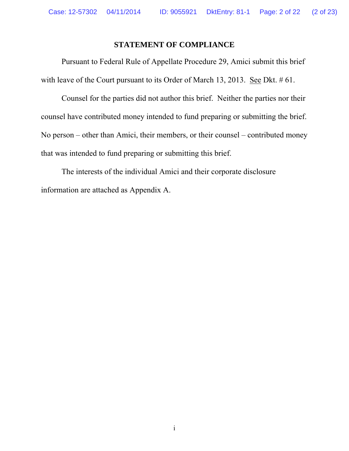### **STATEMENT OF COMPLIANCE**

Pursuant to Federal Rule of Appellate Procedure 29, Amici submit this brief with leave of the Court pursuant to its Order of March 13, 2013. See Dkt. # 61.

Counsel for the parties did not author this brief. Neither the parties nor their counsel have contributed money intended to fund preparing or submitting the brief. No person – other than Amici, their members, or their counsel – contributed money that was intended to fund preparing or submitting this brief.

The interests of the individual Amici and their corporate disclosure information are attached as Appendix A.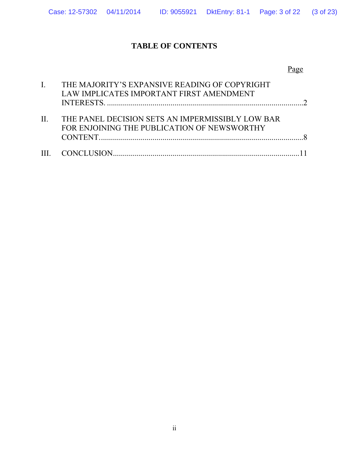# **TABLE OF CONTENTS**

## Page

|              | THE MAJORITY'S EXPANSIVE READING OF COPYRIGHT                                                   |  |
|--------------|-------------------------------------------------------------------------------------------------|--|
|              | LAW IMPLICATES IMPORTANT FIRST AMENDMENT                                                        |  |
|              |                                                                                                 |  |
| $\mathbf{H}$ | THE PANEL DECISION SETS AN IMPERMISSIBLY LOW BAR<br>FOR ENJOINING THE PUBLICATION OF NEWSWORTHY |  |
|              |                                                                                                 |  |
|              |                                                                                                 |  |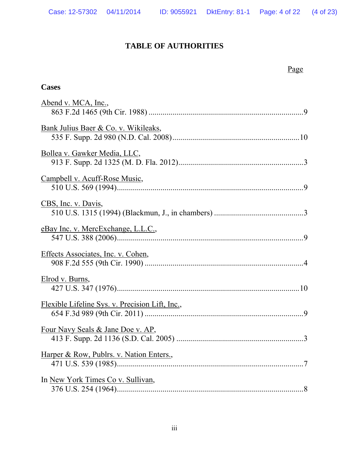## **TABLE OF AUTHORITIES**

## Page

### **Cases**

| Abend v. MCA, Inc.,                             |
|-------------------------------------------------|
| Bank Julius Baer & Co. v. Wikileaks,            |
| Bollea v. Gawker Media, LLC,                    |
| Campbell v. Acuff-Rose Music,                   |
| CBS, Inc. v. Davis,                             |
| eBay Inc. v. MercExchange, L.L.C.,              |
| Effects Associates, Inc. v. Cohen,              |
| Elrod v. Burns,                                 |
| Flexible Lifeline Sys. v. Precision Lift, Inc., |
| Four Navy Seals & Jane Doe v. AP,               |
| Harper & Row, Publrs. v. Nation Enters.,        |
| In New York Times Co v. Sullivan,               |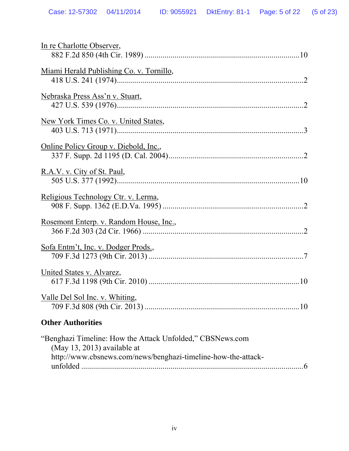| In re Charlotte Observer,                                                                                                                                   |
|-------------------------------------------------------------------------------------------------------------------------------------------------------------|
| Miami Herald Publishing Co. v. Tornillo,                                                                                                                    |
| Nebraska Press Ass'n v. Stuart,                                                                                                                             |
| New York Times Co. v. United States,                                                                                                                        |
| Online Policy Group v. Diebold, Inc.,                                                                                                                       |
| R.A.V. v. City of St. Paul,                                                                                                                                 |
| Religious Technology Ctr. v. Lerma,                                                                                                                         |
| <u>Rosemont Enterp. v. Random House, Inc.,</u>                                                                                                              |
| <u>Sofa Entm't, Inc. v. Dodger Prods.,</u>                                                                                                                  |
| United States v. Alvarez,                                                                                                                                   |
| Valle Del Sol Inc. v. Whiting,                                                                                                                              |
| <b>Other Authorities</b>                                                                                                                                    |
| "Benghazi Timeline: How the Attack Unfolded," CBSNews.com<br>$(May 13, 2013)$ available at<br>http://www.cbsnews.com/news/benghazi-timeline-how-the-attack- |

unfolded ................................................................................................................ 6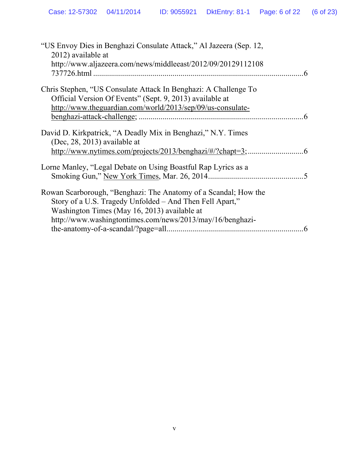| "US Envoy Dies in Benghazi Consulate Attack," Al Jazeera (Sep. 12,<br>2012) available at                                                                                                                                                       |  |
|------------------------------------------------------------------------------------------------------------------------------------------------------------------------------------------------------------------------------------------------|--|
| http://www.aljazeera.com/news/middleeast/2012/09/20129112108                                                                                                                                                                                   |  |
| Chris Stephen, "US Consulate Attack In Benghazi: A Challenge To                                                                                                                                                                                |  |
| Official Version Of Events" (Sept. 9, 2013) available at                                                                                                                                                                                       |  |
| http://www.theguardian.com/world/2013/sep/09/us-consulate-                                                                                                                                                                                     |  |
|                                                                                                                                                                                                                                                |  |
| David D. Kirkpatrick, "A Deadly Mix in Benghazi," N.Y. Times<br>$(Dec, 28, 2013)$ available at                                                                                                                                                 |  |
|                                                                                                                                                                                                                                                |  |
| Lorne Manley, "Legal Debate on Using Boastful Rap Lyrics as a                                                                                                                                                                                  |  |
| Rowan Scarborough, "Benghazi: The Anatomy of a Scandal; How the<br>Story of a U.S. Tragedy Unfolded – And Then Fell Apart,"<br>Washington Times (May 16, 2013) available at<br>http://www.washingtontimes.com/news/2013/may/16/benghazi-<br>.6 |  |
|                                                                                                                                                                                                                                                |  |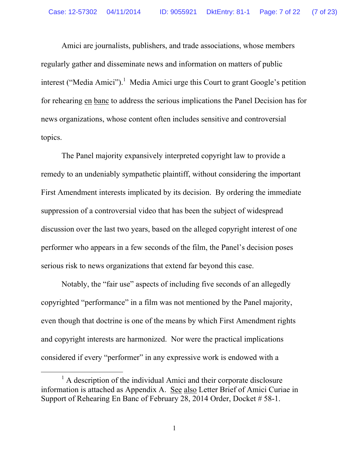Amici are journalists, publishers, and trade associations, whose members regularly gather and disseminate news and information on matters of public interest ("Media Amici").<sup>1</sup> Media Amici urge this Court to grant Google's petition for rehearing en banc to address the serious implications the Panel Decision has for news organizations, whose content often includes sensitive and controversial topics.

The Panel majority expansively interpreted copyright law to provide a remedy to an undeniably sympathetic plaintiff, without considering the important First Amendment interests implicated by its decision. By ordering the immediate suppression of a controversial video that has been the subject of widespread discussion over the last two years, based on the alleged copyright interest of one performer who appears in a few seconds of the film, the Panel's decision poses serious risk to news organizations that extend far beyond this case.

Notably, the "fair use" aspects of including five seconds of an allegedly copyrighted "performance" in a film was not mentioned by the Panel majority, even though that doctrine is one of the means by which First Amendment rights and copyright interests are harmonized. Nor were the practical implications considered if every "performer" in any expressive work is endowed with a

<sup>&</sup>lt;u>1</u>  $^{1}$  A description of the individual Amici and their corporate disclosure information is attached as Appendix A. See also Letter Brief of Amici Curiae in Support of Rehearing En Banc of February 28, 2014 Order, Docket # 58-1.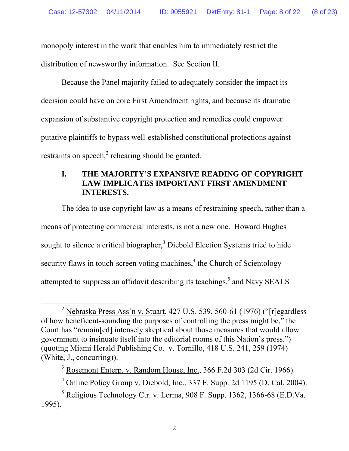monopoly interest in the work that enables him to immediately restrict the distribution of newsworthy information. See Section II.

Because the Panel majority failed to adequately consider the impact its decision could have on core First Amendment rights, and because its dramatic expansion of substantive copyright protection and remedies could empower putative plaintiffs to bypass well-established constitutional protections against restraints on speech, $2$  rehearing should be granted.

### **I. THE MAJORITY'S EXPANSIVE READING OF COPYRIGHT LAW IMPLICATES IMPORTANT FIRST AMENDMENT INTERESTS.**

The idea to use copyright law as a means of restraining speech, rather than a means of protecting commercial interests, is not a new one. Howard Hughes sought to silence a critical biographer,<sup>3</sup> Diebold Election Systems tried to hide security flaws in touch-screen voting machines,<sup>4</sup> the Church of Scientology attempted to suppress an affidavit describing its teachings,<sup>5</sup> and Navy SEALS

 $\frac{1}{2}$ <sup>2</sup> Nebraska Press Ass'n v. Stuart, 427 U.S. 539, 560-61 (1976) ("[r]egardless of how beneficent-sounding the purposes of controlling the press might be," the Court has "remain[ed] intensely skeptical about those measures that would allow government to insinuate itself into the editorial rooms of this Nation's press.") (quoting Miami Herald Publishing Co. v. Tornillo, 418 U.S. 241, 259 (1974) (White, J., concurring)).

<sup>&</sup>lt;sup>3</sup> Rosemont Enterp. v. Random House, Inc., 366 F.2d 303 (2d Cir. 1966).

<sup>&</sup>lt;sup>4</sup> Online Policy Group v. Diebold, Inc., 337 F. Supp. 2d 1195 (D. Cal. 2004).

 $<sup>5</sup>$  Religious Technology Ctr. v. Lerma, 908 F. Supp. 1362, 1366-68 (E.D.Va.)</sup> 1995).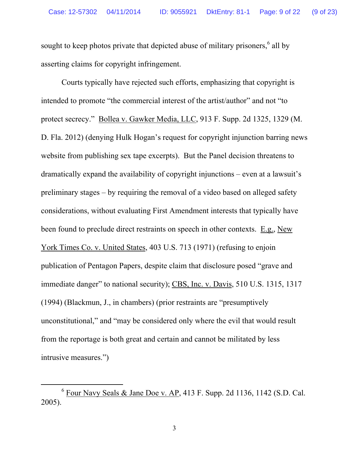sought to keep photos private that depicted abuse of military prisoners,<sup>6</sup> all by asserting claims for copyright infringement.

Courts typically have rejected such efforts, emphasizing that copyright is intended to promote "the commercial interest of the artist/author" and not "to protect secrecy." Bollea v. Gawker Media, LLC, 913 F. Supp. 2d 1325, 1329 (M. D. Fla. 2012) (denying Hulk Hogan's request for copyright injunction barring news website from publishing sex tape excerpts). But the Panel decision threatens to dramatically expand the availability of copyright injunctions – even at a lawsuit's preliminary stages – by requiring the removal of a video based on alleged safety considerations, without evaluating First Amendment interests that typically have been found to preclude direct restraints on speech in other contexts. E.g., New York Times Co. v. United States, 403 U.S. 713 (1971) (refusing to enjoin publication of Pentagon Papers, despite claim that disclosure posed "grave and immediate danger" to national security); CBS, Inc. v. Davis, 510 U.S. 1315, 1317 (1994) (Blackmun, J., in chambers) (prior restraints are "presumptively unconstitutional," and "may be considered only where the evil that would result from the reportage is both great and certain and cannot be militated by less intrusive measures.")

 <sup>6</sup>  $6$  Four Navy Seals & Jane Doe v. AP, 413 F. Supp. 2d 1136, 1142 (S.D. Cal.) 2005).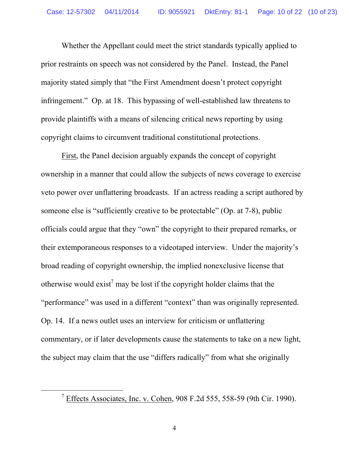Whether the Appellant could meet the strict standards typically applied to prior restraints on speech was not considered by the Panel. Instead, the Panel majority stated simply that "the First Amendment doesn't protect copyright infringement." Op. at 18. This bypassing of well-established law threatens to provide plaintiffs with a means of silencing critical news reporting by using copyright claims to circumvent traditional constitutional protections.

First, the Panel decision arguably expands the concept of copyright ownership in a manner that could allow the subjects of news coverage to exercise veto power over unflattering broadcasts. If an actress reading a script authored by someone else is "sufficiently creative to be protectable" (Op. at 7-8), public officials could argue that they "own" the copyright to their prepared remarks, or their extemporaneous responses to a videotaped interview. Under the majority's broad reading of copyright ownership, the implied nonexclusive license that otherwise would exist<sup>7</sup> may be lost if the copyright holder claims that the "performance" was used in a different "context" than was originally represented. Op. 14. If a news outlet uses an interview for criticism or unflattering commentary, or if later developments cause the statements to take on a new light, the subject may claim that the use "differs radically" from what she originally

 $\frac{1}{7}$ <sup>7</sup> Effects Associates, Inc. v. Cohen, 908 F.2d 555, 558-59 (9th Cir. 1990).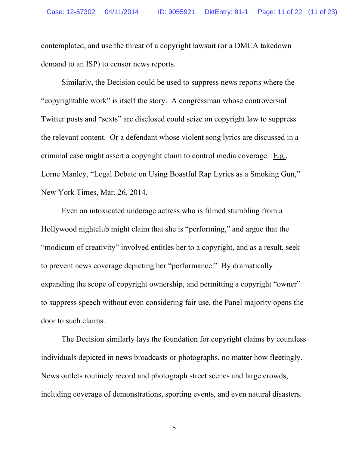contemplated, and use the threat of a copyright lawsuit (or a DMCA takedown demand to an ISP) to censor news reports.

Similarly, the Decision could be used to suppress news reports where the "copyrightable work" is itself the story. A congressman whose controversial Twitter posts and "sexts" are disclosed could seize on copyright law to suppress the relevant content. Or a defendant whose violent song lyrics are discussed in a criminal case might assert a copyright claim to control media coverage. E.g., Lorne Manley, "Legal Debate on Using Boastful Rap Lyrics as a Smoking Gun," New York Times, Mar. 26, 2014.

Even an intoxicated underage actress who is filmed stumbling from a Hollywood nightclub might claim that she is "performing," and argue that the "modicum of creativity" involved entitles her to a copyright, and as a result, seek to prevent news coverage depicting her "performance." By dramatically expanding the scope of copyright ownership, and permitting a copyright "owner" to suppress speech without even considering fair use, the Panel majority opens the door to such claims.

The Decision similarly lays the foundation for copyright claims by countless individuals depicted in news broadcasts or photographs, no matter how fleetingly. News outlets routinely record and photograph street scenes and large crowds, including coverage of demonstrations, sporting events, and even natural disasters.

5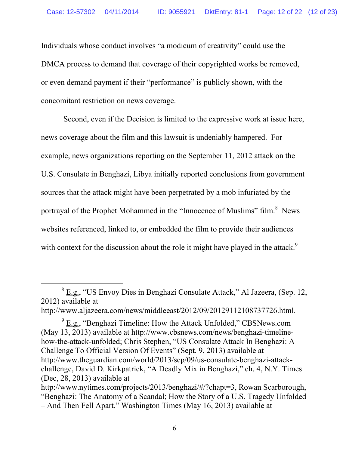Individuals whose conduct involves "a modicum of creativity" could use the DMCA process to demand that coverage of their copyrighted works be removed, or even demand payment if their "performance" is publicly shown, with the concomitant restriction on news coverage.

 Second, even if the Decision is limited to the expressive work at issue here, news coverage about the film and this lawsuit is undeniably hampered. For example, news organizations reporting on the September 11, 2012 attack on the U.S. Consulate in Benghazi, Libya initially reported conclusions from government sources that the attack might have been perpetrated by a mob infuriated by the portrayal of the Prophet Mohammed in the "Innocence of Muslims" film. $8$  News websites referenced, linked to, or embedded the film to provide their audiences with context for the discussion about the role it might have played in the attack.<sup>9</sup>

 $\frac{1}{\sqrt{8}}$  E.g., "US Envoy Dies in Benghazi Consulate Attack," Al Jazeera, (Sep. 12, 2012) available at

http://www.aljazeera.com/news/middleeast/2012/09/20129112108737726.html.

 $9 \underline{\text{E.g.}}$ , "Benghazi Timeline: How the Attack Unfolded," CBSNews.com (May 13, 2013) available at http://www.cbsnews.com/news/benghazi-timelinehow-the-attack-unfolded; Chris Stephen, "US Consulate Attack In Benghazi: A Challenge To Official Version Of Events" (Sept. 9, 2013) available at http://www.theguardian.com/world/2013/sep/09/us-consulate-benghazi-attackchallenge, David D. Kirkpatrick, "A Deadly Mix in Benghazi," ch. 4, N.Y. Times (Dec, 28, 2013) available at http://www.nytimes.com/projects/2013/benghazi/#/?chapt=3, Rowan Scarborough,

<sup>&</sup>quot;Benghazi: The Anatomy of a Scandal; How the Story of a U.S. Tragedy Unfolded – And Then Fell Apart," Washington Times (May 16, 2013) available at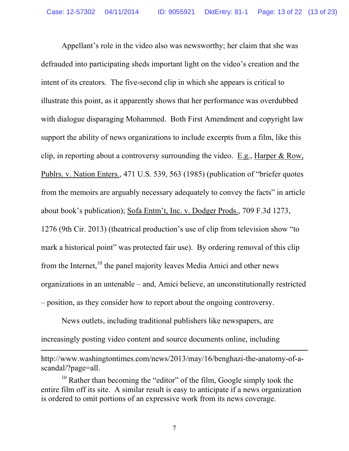Appellant's role in the video also was newsworthy; her claim that she was defrauded into participating sheds important light on the video's creation and the intent of its creators. The five-second clip in which she appears is critical to illustrate this point, as it apparently shows that her performance was overdubbed with dialogue disparaging Mohammed. Both First Amendment and copyright law support the ability of news organizations to include excerpts from a film, like this clip, in reporting about a controversy surrounding the video. E.g., Harper & Row, Publrs. v. Nation Enters., 471 U.S. 539, 563 (1985) (publication of "briefer quotes from the memoirs are arguably necessary adequately to convey the facts" in article about book's publication); Sofa Entm't, Inc. v. Dodger Prods., 709 F.3d 1273, 1276 (9th Cir. 2013) (theatrical production's use of clip from television show "to mark a historical point" was protected fair use). By ordering removal of this clip from the Internet, $^{10}$  the panel majority leaves Media Amici and other news organizations in an untenable – and, Amici believe, an unconstitutionally restricted – position, as they consider how to report about the ongoing controversy.

News outlets, including traditional publishers like newspapers, are increasingly posting video content and source documents online, including

 $\overline{a}$ 

http://www.washingtontimes.com/news/2013/may/16/benghazi-the-anatomy-of-ascandal/?page=all.

 $10$  Rather than becoming the "editor" of the film, Google simply took the entire film off its site. A similar result is easy to anticipate if a news organization is ordered to omit portions of an expressive work from its news coverage.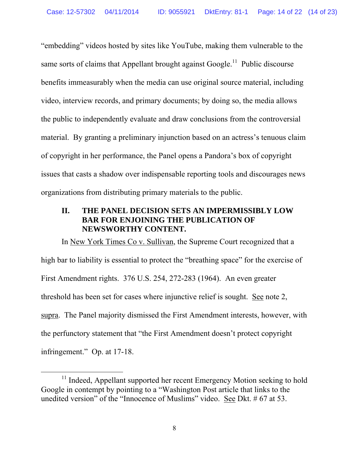"embedding" videos hosted by sites like YouTube, making them vulnerable to the same sorts of claims that Appellant brought against Google.<sup>11</sup> Public discourse benefits immeasurably when the media can use original source material, including video, interview records, and primary documents; by doing so, the media allows the public to independently evaluate and draw conclusions from the controversial material. By granting a preliminary injunction based on an actress's tenuous claim of copyright in her performance, the Panel opens a Pandora's box of copyright issues that casts a shadow over indispensable reporting tools and discourages news organizations from distributing primary materials to the public.

### **II. THE PANEL DECISION SETS AN IMPERMISSIBLY LOW BAR FOR ENJOINING THE PUBLICATION OF NEWSWORTHY CONTENT.**

In New York Times Co v. Sullivan, the Supreme Court recognized that a high bar to liability is essential to protect the "breathing space" for the exercise of First Amendment rights. 376 U.S. 254, 272-283 (1964). An even greater threshold has been set for cases where injunctive relief is sought. See note 2, supra. The Panel majority dismissed the First Amendment interests, however, with the perfunctory statement that "the First Amendment doesn't protect copyright infringement." Op. at 17-18.

<sup>&</sup>lt;sup>11</sup> Indeed, Appellant supported her recent Emergency Motion seeking to hold Google in contempt by pointing to a "Washington Post article that links to the unedited version" of the "Innocence of Muslims" video. See Dkt. # 67 at 53.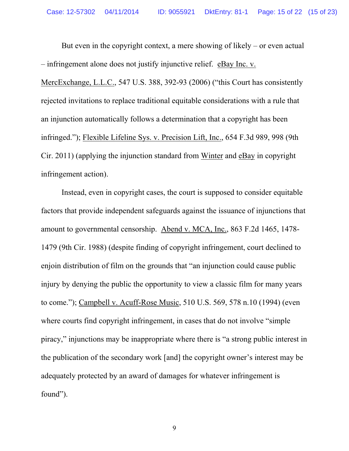But even in the copyright context, a mere showing of likely – or even actual – infringement alone does not justify injunctive relief. eBay Inc. v.

MercExchange, L.L.C., 547 U.S. 388, 392-93 (2006) ("this Court has consistently rejected invitations to replace traditional equitable considerations with a rule that an injunction automatically follows a determination that a copyright has been infringed."); Flexible Lifeline Sys. v. Precision Lift, Inc., 654 F.3d 989, 998 (9th Cir. 2011) (applying the injunction standard from Winter and eBay in copyright infringement action).

Instead, even in copyright cases, the court is supposed to consider equitable factors that provide independent safeguards against the issuance of injunctions that amount to governmental censorship. Abend v. MCA, Inc., 863 F.2d 1465, 1478- 1479 (9th Cir. 1988) (despite finding of copyright infringement, court declined to enjoin distribution of film on the grounds that "an injunction could cause public injury by denying the public the opportunity to view a classic film for many years to come."); Campbell v. Acuff-Rose Music, 510 U.S. 569, 578 n.10 (1994) (even where courts find copyright infringement, in cases that do not involve "simple piracy," injunctions may be inappropriate where there is "a strong public interest in the publication of the secondary work [and] the copyright owner's interest may be adequately protected by an award of damages for whatever infringement is found").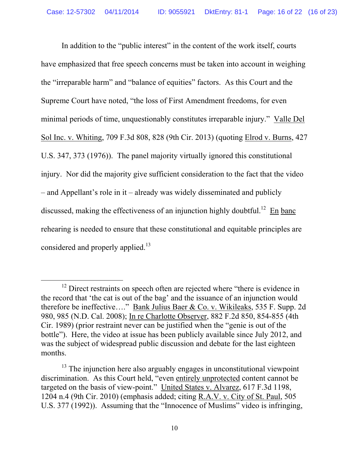In addition to the "public interest" in the content of the work itself, courts have emphasized that free speech concerns must be taken into account in weighing the "irreparable harm" and "balance of equities" factors. As this Court and the Supreme Court have noted, "the loss of First Amendment freedoms, for even minimal periods of time, unquestionably constitutes irreparable injury." Valle Del Sol Inc. v. Whiting, 709 F.3d 808, 828 (9th Cir. 2013) (quoting Elrod v. Burns, 427 U.S. 347, 373 (1976)). The panel majority virtually ignored this constitutional injury. Nor did the majority give sufficient consideration to the fact that the video – and Appellant's role in it – already was widely disseminated and publicly discussed, making the effectiveness of an injunction highly doubtful.<sup>12</sup> En banc rehearing is needed to ensure that these constitutional and equitable principles are considered and properly applied.<sup>13</sup>

 $12$  Direct restraints on speech often are rejected where "there is evidence in the record that 'the cat is out of the bag' and the issuance of an injunction would therefore be ineffective…." Bank Julius Baer & Co. v. Wikileaks, 535 F. Supp. 2d 980, 985 (N.D. Cal. 2008); In re Charlotte Observer, 882 F.2d 850, 854-855 (4th Cir. 1989) (prior restraint never can be justified when the "genie is out of the bottle"). Here, the video at issue has been publicly available since July 2012, and was the subject of widespread public discussion and debate for the last eighteen months.

 $13$  The injunction here also arguably engages in unconstitutional viewpoint discrimination. As this Court held, "even entirely unprotected content cannot be targeted on the basis of view-point." United States v. Alvarez, 617 F.3d 1198, 1204 n.4 (9th Cir. 2010) (emphasis added; citing R.A.V. v. City of St. Paul, 505 U.S. 377 (1992)). Assuming that the "Innocence of Muslims" video is infringing,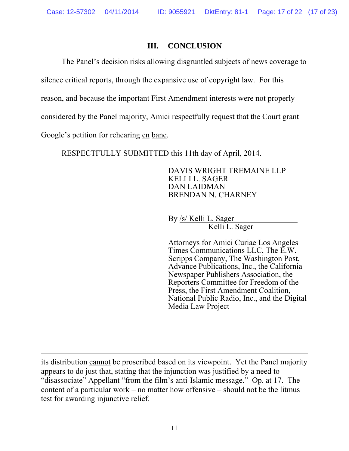#### **III. CONCLUSION**

The Panel's decision risks allowing disgruntled subjects of news coverage to

silence critical reports, through the expansive use of copyright law. For this

reason, and because the important First Amendment interests were not properly

considered by the Panel majority, Amici respectfully request that the Court grant

Google's petition for rehearing en banc.

 $\overline{a}$ 

RESPECTFULLY SUBMITTED this 11th day of April, 2014.

DAVIS WRIGHT TREMAINE LLP KELLI L. SAGER DAN LAIDMAN BRENDAN N. CHARNEY

By /s/ Kelli L. Sager Kelli L. Sager

Attorneys for Amici Curiae Los Angeles Times Communications LLC, The E.W. Scripps Company, The Washington Post, Advance Publications, Inc., the California Newspaper Publishers Association, the Reporters Committee for Freedom of the Press, the First Amendment Coalition, National Public Radio, Inc., and the Digital Media Law Project

its distribution cannot be proscribed based on its viewpoint. Yet the Panel majority appears to do just that, stating that the injunction was justified by a need to "disassociate" Appellant "from the film's anti-Islamic message." Op. at 17. The content of a particular work – no matter how offensive – should not be the litmus test for awarding injunctive relief.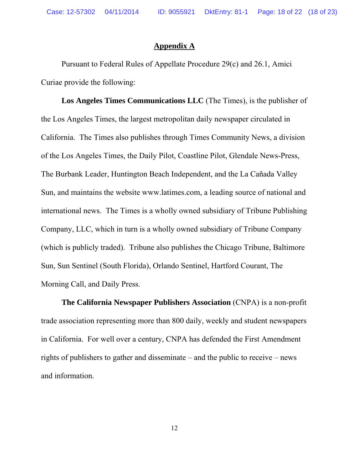#### **Appendix A**

Pursuant to Federal Rules of Appellate Procedure 29(c) and 26.1, Amici Curiae provide the following:

**Los Angeles Times Communications LLC** (The Times), is the publisher of the Los Angeles Times, the largest metropolitan daily newspaper circulated in California. The Times also publishes through Times Community News, a division of the Los Angeles Times, the Daily Pilot, Coastline Pilot, Glendale News-Press, The Burbank Leader, Huntington Beach Independent, and the La Cañada Valley Sun, and maintains the website www.latimes.com, a leading source of national and international news. The Times is a wholly owned subsidiary of Tribune Publishing Company, LLC, which in turn is a wholly owned subsidiary of Tribune Company (which is publicly traded). Tribune also publishes the Chicago Tribune, Baltimore Sun, Sun Sentinel (South Florida), Orlando Sentinel, Hartford Courant, The Morning Call, and Daily Press.

**The California Newspaper Publishers Association** (CNPA) is a non-profit trade association representing more than 800 daily, weekly and student newspapers in California. For well over a century, CNPA has defended the First Amendment rights of publishers to gather and disseminate – and the public to receive – news and information.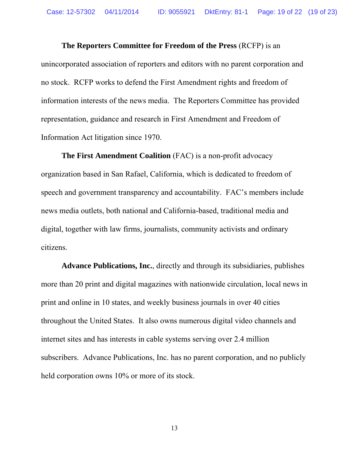**The Reporters Committee for Freedom of the Press** (RCFP) is an unincorporated association of reporters and editors with no parent corporation and no stock. RCFP works to defend the First Amendment rights and freedom of information interests of the news media. The Reporters Committee has provided representation, guidance and research in First Amendment and Freedom of Information Act litigation since 1970.

**The First Amendment Coalition** (FAC) is a non-profit advocacy organization based in San Rafael, California, which is dedicated to freedom of speech and government transparency and accountability. FAC's members include news media outlets, both national and California-based, traditional media and digital, together with law firms, journalists, community activists and ordinary citizens.

**Advance Publications, Inc.**, directly and through its subsidiaries, publishes more than 20 print and digital magazines with nationwide circulation, local news in print and online in 10 states, and weekly business journals in over 40 cities throughout the United States. It also owns numerous digital video channels and internet sites and has interests in cable systems serving over 2.4 million subscribers. Advance Publications, Inc. has no parent corporation, and no publicly held corporation owns 10% or more of its stock.

13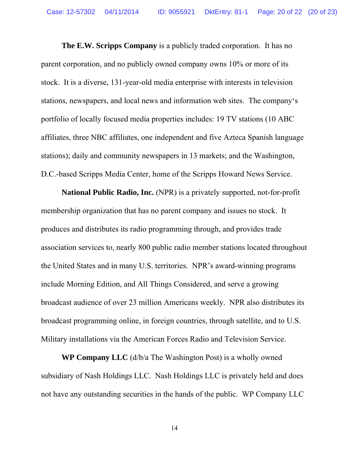**The E.W. Scripps Company** is a publicly traded corporation. It has no parent corporation, and no publicly owned company owns 10% or more of its stock. It is a diverse, 131-year-old media enterprise with interests in television stations, newspapers, and local news and information web sites. The company's portfolio of locally focused media properties includes: 19 TV stations (10 ABC affiliates, three NBC affiliates, one independent and five Azteca Spanish language stations); daily and community newspapers in 13 markets; and the Washington, D.C.-based Scripps Media Center, home of the Scripps Howard News Service.

**National Public Radio, Inc.** (NPR) is a privately supported, not-for-profit membership organization that has no parent company and issues no stock. It produces and distributes its radio programming through, and provides trade association services to, nearly 800 public radio member stations located throughout the United States and in many U.S. territories. NPR's award-winning programs include Morning Edition, and All Things Considered, and serve a growing broadcast audience of over 23 million Americans weekly. NPR also distributes its broadcast programming online, in foreign countries, through satellite, and to U.S. Military installations via the American Forces Radio and Television Service.

**WP Company LLC** (d/b/a The Washington Post) is a wholly owned subsidiary of Nash Holdings LLC. Nash Holdings LLC is privately held and does not have any outstanding securities in the hands of the public. WP Company LLC

14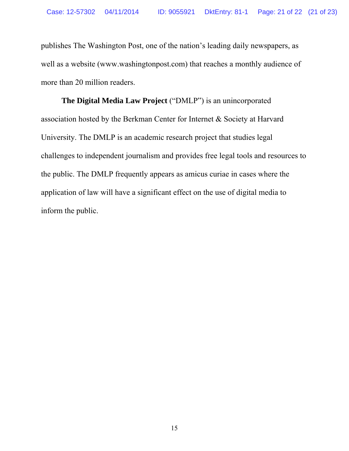publishes The Washington Post, one of the nation's leading daily newspapers, as well as a website (www.washingtonpost.com) that reaches a monthly audience of more than 20 million readers.

**The Digital Media Law Project** ("DMLP") is an unincorporated association hosted by the Berkman Center for Internet & Society at Harvard University. The DMLP is an academic research project that studies legal challenges to independent journalism and provides free legal tools and resources to the public. The DMLP frequently appears as amicus curiae in cases where the application of law will have a significant effect on the use of digital media to inform the public.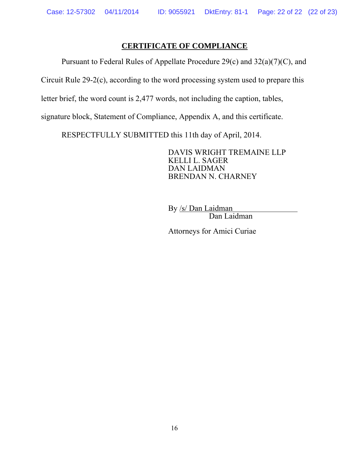### **CERTIFICATE OF COMPLIANCE**

Pursuant to Federal Rules of Appellate Procedure 29(c) and 32(a)(7)(C), and

Circuit Rule 29-2(c), according to the word processing system used to prepare this

letter brief, the word count is 2,477 words, not including the caption, tables,

signature block, Statement of Compliance, Appendix A, and this certificate.

RESPECTFULLY SUBMITTED this 11th day of April, 2014.

DAVIS WRIGHT TREMAINE LLP KELLI L. SAGER DAN LAIDMAN BRENDAN N. CHARNEY

By /s/ Dan Laidman Dan Laidman

Attorneys for Amici Curiae